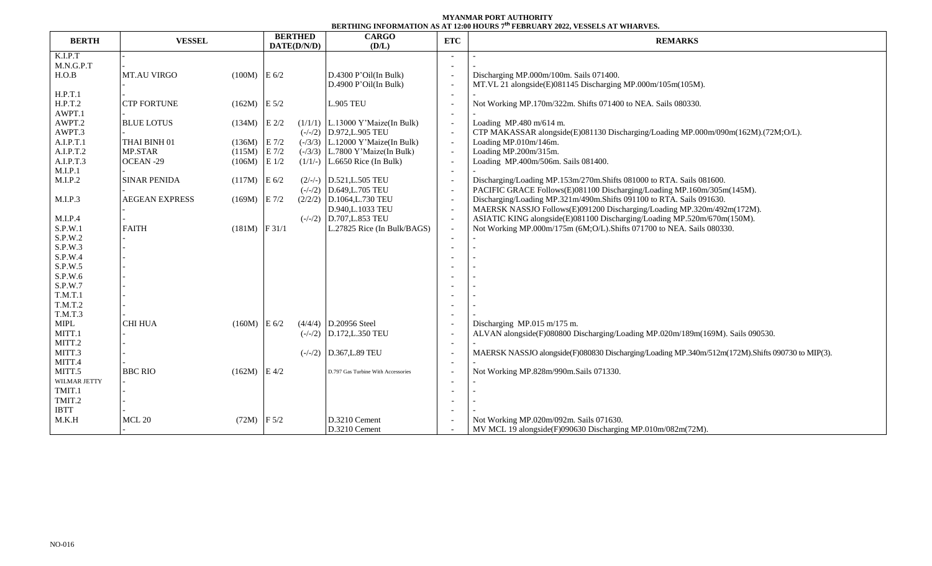## **MYANMAR PORT AUTHORITY BERTHING INFORMATION AS AT 12:00 HOURS 7 th FEBRUARY 2022, VESSELS AT WHARVES.**

| <b>BERTH</b>                 | <b>VESSEL</b>         |                 | <b>BERTHED</b><br>DATE(D/N/D) | DENIMIN IN VINIMIIVA AD AI ISBN 11998 - TEDIVANI <i>SVIS</i> TEDDELO AI THAN TED<br><b>CARGO</b><br>(D/L) | <b>ETC</b>               | <b>REMARKS</b>                                                                                   |  |  |  |
|------------------------------|-----------------------|-----------------|-------------------------------|-----------------------------------------------------------------------------------------------------------|--------------------------|--------------------------------------------------------------------------------------------------|--|--|--|
| K.I.P.T                      |                       |                 |                               |                                                                                                           |                          |                                                                                                  |  |  |  |
| M.N.G.P.T                    |                       |                 |                               |                                                                                                           |                          |                                                                                                  |  |  |  |
| H.O.B                        | <b>MT.AU VIRGO</b>    | $(100M)$ E 6/2  |                               | D.4300 P'Oil(In Bulk)                                                                                     |                          | Discharging MP.000m/100m. Sails 071400.                                                          |  |  |  |
|                              |                       |                 |                               | D.4900 P'Oil(In Bulk)                                                                                     |                          | MT.VL 21 alongside(E)081145 Discharging MP.000m/105m(105M).                                      |  |  |  |
| H.P.T.1                      |                       |                 |                               |                                                                                                           |                          |                                                                                                  |  |  |  |
| H.P.T.2                      | <b>CTP FORTUNE</b>    | $(162M)$ E 5/2  |                               | <b>L.905 TEU</b>                                                                                          |                          | Not Working MP.170m/322m. Shifts 071400 to NEA. Sails 080330.                                    |  |  |  |
| AWPT.1                       |                       |                 |                               |                                                                                                           |                          |                                                                                                  |  |  |  |
| AWPT.2                       | <b>BLUE LOTUS</b>     | $(134M)$ E 2/2  |                               | $(1/1/1)$ L.13000 Y'Maize(In Bulk)                                                                        |                          | Loading MP.480 m/614 m.                                                                          |  |  |  |
| AWPT.3                       |                       |                 |                               | $(-/-/2)$ D.972, L.905 TEU                                                                                | $\overline{\phantom{a}}$ | CTP MAKASSAR alongside(E)081130 Discharging/Loading MP.000m/090m(162M).(72M;O/L).                |  |  |  |
| A.I.P.T.1                    | THAI BINH 01          | $(136M)$ E 7/2  |                               | $(-/3/3)$ L.12000 Y'Maize(In Bulk)                                                                        | $\sim$                   | Loading MP.010m/146m.                                                                            |  |  |  |
| A.I.P.T.2                    | MP.STAR               | (115M)          | $\to 7/2$                     | $(-/3/3)$ L.7800 Y'Maize(In Bulk)                                                                         | $\sim$                   | Loading MP.200m/315m.                                                                            |  |  |  |
| A.I.P.T.3                    | OCEAN-29              | $(106M)$ E 1/2  |                               | $(1/1/-)$ L.6650 Rice (In Bulk)                                                                           |                          | Loading MP.400m/506m. Sails 081400.                                                              |  |  |  |
| M.I.P.1                      |                       |                 |                               |                                                                                                           | $\overline{a}$           |                                                                                                  |  |  |  |
| M.I.P.2                      | <b>SINAR PENIDA</b>   | $(117M)$ E 6/2  |                               | $(2/-/-)$ D.521, L.505 TEU                                                                                |                          | Discharging/Loading MP.153m/270m.Shifts 081000 to RTA. Sails 081600.                             |  |  |  |
|                              |                       |                 |                               | $(-/-/2)$ D.649, L.705 TEU                                                                                |                          | PACIFIC GRACE Follows(E)081100 Discharging/Loading MP.160m/305m(145M).                           |  |  |  |
| M.I.P.3                      | <b>AEGEAN EXPRESS</b> | $(169M)$ E 7/2  |                               | $(2/2/2)$ D.1064, L.730 TEU                                                                               | $\overline{\phantom{a}}$ | Discharging/Loading MP.321m/490m.Shifts 091100 to RTA. Sails 091630.                             |  |  |  |
|                              |                       |                 |                               | D.940, L.1033 TEU                                                                                         | $\overline{\phantom{a}}$ | MAERSK NASSJO Follows(E)091200 Discharging/Loading MP.320m/492m(172M).                           |  |  |  |
| M.I.P.4                      |                       |                 |                               | $(-/-/2)$ D.707, L.853 TEU                                                                                | $\overline{\phantom{a}}$ | ASIATIC KING alongside(E)081100 Discharging/Loading MP.520m/670m(150M).                          |  |  |  |
| S.P.W.1                      | <b>FAITH</b>          | $(181M)$ F 31/1 |                               | L.27825 Rice (In Bulk/BAGS)                                                                               |                          | Not Working MP.000m/175m (6M;O/L).Shifts 071700 to NEA. Sails 080330.                            |  |  |  |
| S.P.W.2                      |                       |                 |                               |                                                                                                           |                          |                                                                                                  |  |  |  |
| S.P.W.3                      |                       |                 |                               |                                                                                                           |                          |                                                                                                  |  |  |  |
| S.P.W.4                      |                       |                 |                               |                                                                                                           |                          |                                                                                                  |  |  |  |
| S.P.W.5                      |                       |                 |                               |                                                                                                           |                          |                                                                                                  |  |  |  |
| S.P.W.6                      |                       |                 |                               |                                                                                                           |                          |                                                                                                  |  |  |  |
| S.P.W.7                      |                       |                 |                               |                                                                                                           |                          |                                                                                                  |  |  |  |
| T.M.T.1                      |                       |                 |                               |                                                                                                           |                          |                                                                                                  |  |  |  |
| T.M.T.2                      |                       |                 |                               |                                                                                                           |                          |                                                                                                  |  |  |  |
| T.M.T.3                      |                       |                 |                               |                                                                                                           |                          |                                                                                                  |  |  |  |
| $\ensuremath{\mathsf{MIPL}}$ | <b>CHI HUA</b>        | $(160M)$ E 6/2  |                               | $(4/4/4)$ D.20956 Steel                                                                                   |                          | Discharging MP.015 m/175 m.                                                                      |  |  |  |
| MITT.1                       |                       |                 |                               | $(-/-/2)$ D.172, L.350 TEU                                                                                |                          | ALVAN alongside(F)080800 Discharging/Loading MP.020m/189m(169M). Sails 090530.                   |  |  |  |
| MITT.2                       |                       |                 |                               |                                                                                                           |                          |                                                                                                  |  |  |  |
| MITT.3                       |                       |                 |                               | $(-/-/2)$ D.367, L.89 TEU                                                                                 |                          | MAERSK NASSJO alongside(F)080830 Discharging/Loading MP.340m/512m(172M).Shifts 090730 to MIP(3). |  |  |  |
| MITT.4                       |                       |                 |                               |                                                                                                           |                          |                                                                                                  |  |  |  |
| MITT.5                       | <b>BBC RIO</b>        | $(162M)$ E 4/2  |                               | D.797 Gas Turbine With Accessories                                                                        |                          | Not Working MP.828m/990m.Sails 071330.                                                           |  |  |  |
| WILMAR JETTY                 |                       |                 |                               |                                                                                                           |                          |                                                                                                  |  |  |  |
| TMIT.1                       |                       |                 |                               |                                                                                                           |                          |                                                                                                  |  |  |  |
| TMIT.2                       |                       |                 |                               |                                                                                                           |                          |                                                                                                  |  |  |  |
| <b>IBTT</b>                  |                       |                 |                               |                                                                                                           |                          |                                                                                                  |  |  |  |
| M.K.H                        | $MCL$ $20\,$          | $(72M)$ F 5/2   |                               | D.3210 Cement                                                                                             |                          | Not Working MP.020m/092m. Sails 071630.                                                          |  |  |  |
|                              |                       |                 |                               | D.3210 Cement                                                                                             |                          | MV MCL 19 alongside(F)090630 Discharging MP.010m/082m(72M).                                      |  |  |  |